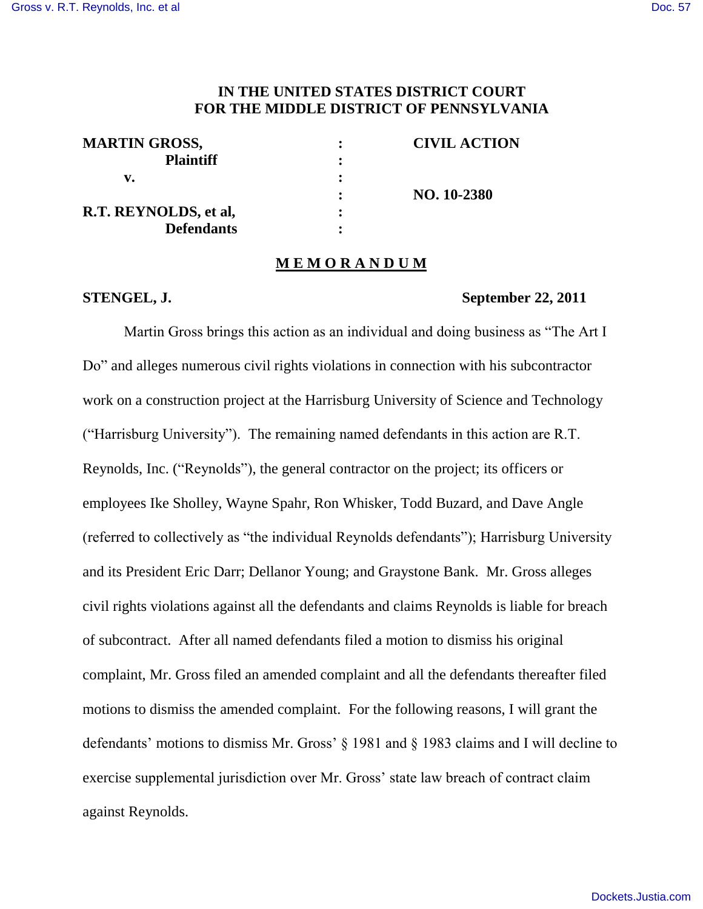## **IN THE UNITED STATES DISTRICT COURT FOR THE MIDDLE DISTRICT OF PENNSYLVANIA**

| <b>MARTIN GROSS,</b>  | <b>CIVIL ACTION</b> |
|-----------------------|---------------------|
| <b>Plaintiff</b>      |                     |
| v.                    |                     |
|                       | NO. 10-2380         |
| R.T. REYNOLDS, et al. |                     |
| <b>Defendants</b>     |                     |

#### **M E M O R A N D U M**

### **STENGEL, J. September 22, 2011**

Martin Gross brings this action as an individual and doing business as "The Art I Do" and alleges numerous civil rights violations in connection with his subcontractor work on a construction project at the Harrisburg University of Science and Technology ("Harrisburg University"). The remaining named defendants in this action are R.T. Reynolds, Inc. ("Reynolds"), the general contractor on the project; its officers or employees Ike Sholley, Wayne Spahr, Ron Whisker, Todd Buzard, and Dave Angle (referred to collectively as "the individual Reynolds defendants"); Harrisburg University and its President Eric Darr; Dellanor Young; and Graystone Bank. Mr. Gross alleges civil rights violations against all the defendants and claims Reynolds is liable for breach of subcontract. After all named defendants filed a motion to dismiss his original complaint, Mr. Gross filed an amended complaint and all the defendants thereafter filed motions to dismiss the amended complaint. For the following reasons, I will grant the defendants' motions to dismiss Mr. Gross' § 1981 and § 1983 claims and I will decline to exercise supplemental jurisdiction over Mr. Gross' state law breach of contract claim against Reynolds.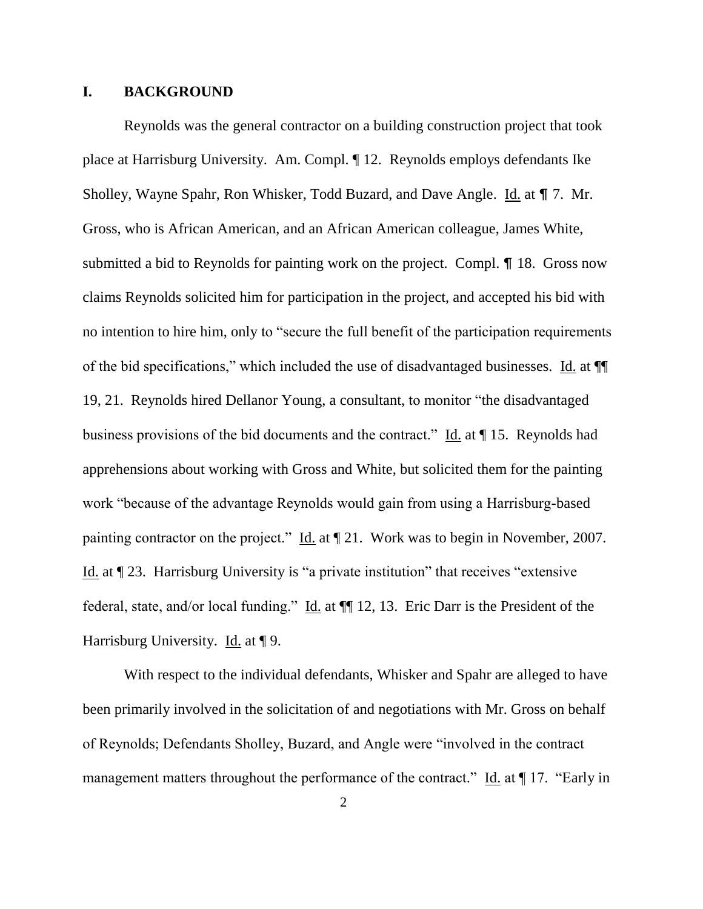### **I. BACKGROUND**

Reynolds was the general contractor on a building construction project that took place at Harrisburg University. Am. Compl. ¶ 12. Reynolds employs defendants Ike Sholley, Wayne Spahr, Ron Whisker, Todd Buzard, and Dave Angle. Id. at  $\P$  7. Mr. Gross, who is African American, and an African American colleague, James White, submitted a bid to Reynolds for painting work on the project. Compl.  $\P$  18. Gross now claims Reynolds solicited him for participation in the project, and accepted his bid with no intention to hire him, only to "secure the full benefit of the participation requirements of the bid specifications," which included the use of disadvantaged businesses. Id. at ¶¶ 19, 21. Reynolds hired Dellanor Young, a consultant, to monitor "the disadvantaged business provisions of the bid documents and the contract." Id. at  $\P$  15. Reynolds had apprehensions about working with Gross and White, but solicited them for the painting work "because of the advantage Reynolds would gain from using a Harrisburg-based painting contractor on the project." Id. at ¶ 21. Work was to begin in November, 2007. Id. at ¶ 23. Harrisburg University is "a private institution" that receives "extensive federal, state, and/or local funding." Id. at ¶¶ 12, 13. Eric Darr is the President of the Harrisburg University. Id. at  $\P$  9.

With respect to the individual defendants, Whisker and Spahr are alleged to have been primarily involved in the solicitation of and negotiations with Mr. Gross on behalf of Reynolds; Defendants Sholley, Buzard, and Angle were "involved in the contract management matters throughout the performance of the contract." Id. at  $\P$  17. "Early in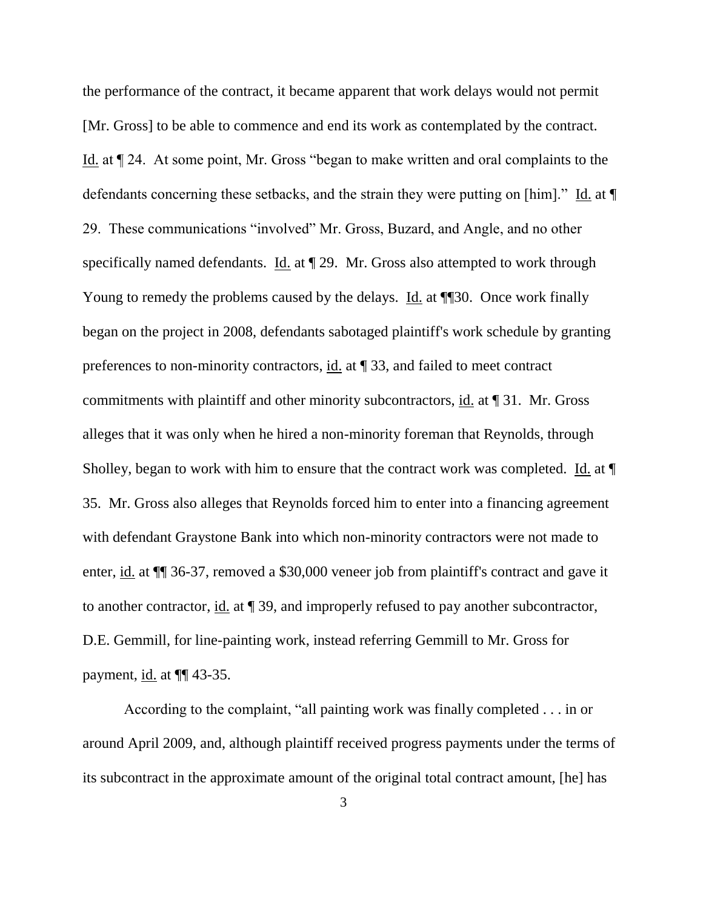the performance of the contract, it became apparent that work delays would not permit [Mr. Gross] to be able to commence and end its work as contemplated by the contract. Id. at ¶ 24. At some point, Mr. Gross "began to make written and oral complaints to the defendants concerning these setbacks, and the strain they were putting on [him]." Id. at ¶ 29. These communications "involved" Mr. Gross, Buzard, and Angle, and no other specifically named defendants. Id. at ¶ 29. Mr. Gross also attempted to work through Young to remedy the problems caused by the delays. Id. at  $\P$  30. Once work finally began on the project in 2008, defendants sabotaged plaintiff's work schedule by granting preferences to non-minority contractors, id. at ¶ 33, and failed to meet contract commitments with plaintiff and other minority subcontractors, id. at ¶ 31. Mr. Gross alleges that it was only when he hired a non-minority foreman that Reynolds, through Sholley, began to work with him to ensure that the contract work was completed. Id. at ¶ 35. Mr. Gross also alleges that Reynolds forced him to enter into a financing agreement with defendant Graystone Bank into which non-minority contractors were not made to enter, id. at ¶¶ 36-37, removed a \$30,000 veneer job from plaintiff's contract and gave it to another contractor, id. at ¶ 39, and improperly refused to pay another subcontractor, D.E. Gemmill, for line-painting work, instead referring Gemmill to Mr. Gross for payment,  $\underline{\text{id}}$ . at  $\P$  43-35.

According to the complaint, "all painting work was finally completed . . . in or around April 2009, and, although plaintiff received progress payments under the terms of its subcontract in the approximate amount of the original total contract amount, [he] has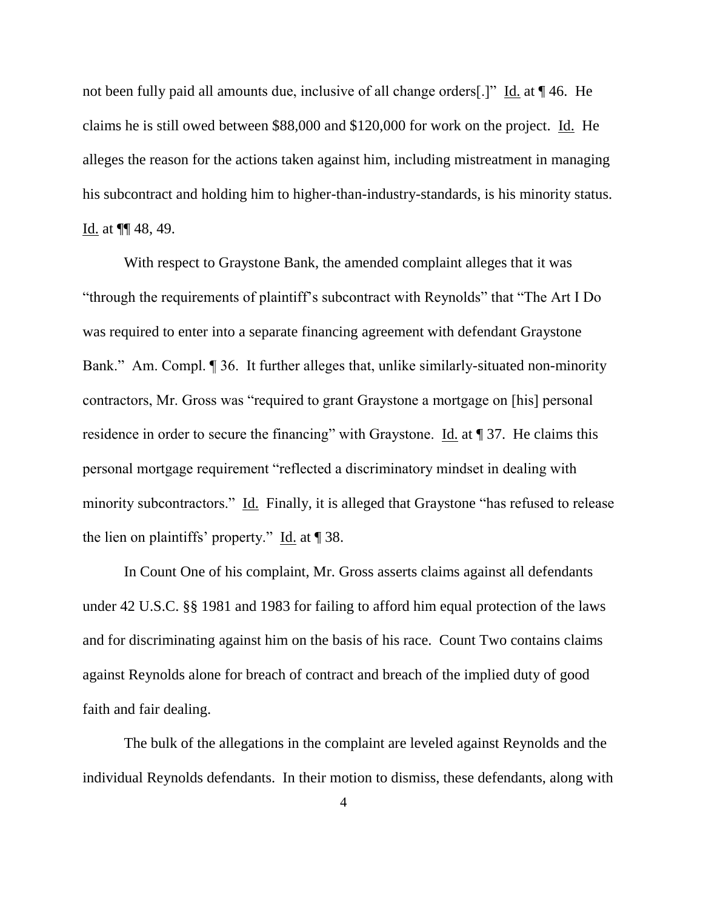not been fully paid all amounts due, inclusive of all change orders[.]" Id. at  $\P$  46. He claims he is still owed between \$88,000 and \$120,000 for work on the project. Id. He alleges the reason for the actions taken against him, including mistreatment in managing his subcontract and holding him to higher-than-industry-standards, is his minority status. Id. at ¶¶ 48, 49.

With respect to Graystone Bank, the amended complaint alleges that it was "through the requirements of plaintiff"s subcontract with Reynolds" that "The Art I Do was required to enter into a separate financing agreement with defendant Graystone Bank." Am. Compl. ¶ 36. It further alleges that, unlike similarly-situated non-minority contractors, Mr. Gross was "required to grant Graystone a mortgage on [his] personal residence in order to secure the financing" with Graystone. Id. at  $\parallel$  37. He claims this personal mortgage requirement "reflected a discriminatory mindset in dealing with minority subcontractors." Id. Finally, it is alleged that Graystone "has refused to release the lien on plaintiffs" property." Id. at ¶ 38.

In Count One of his complaint, Mr. Gross asserts claims against all defendants under 42 U.S.C. §§ 1981 and 1983 for failing to afford him equal protection of the laws and for discriminating against him on the basis of his race. Count Two contains claims against Reynolds alone for breach of contract and breach of the implied duty of good faith and fair dealing.

The bulk of the allegations in the complaint are leveled against Reynolds and the individual Reynolds defendants. In their motion to dismiss, these defendants, along with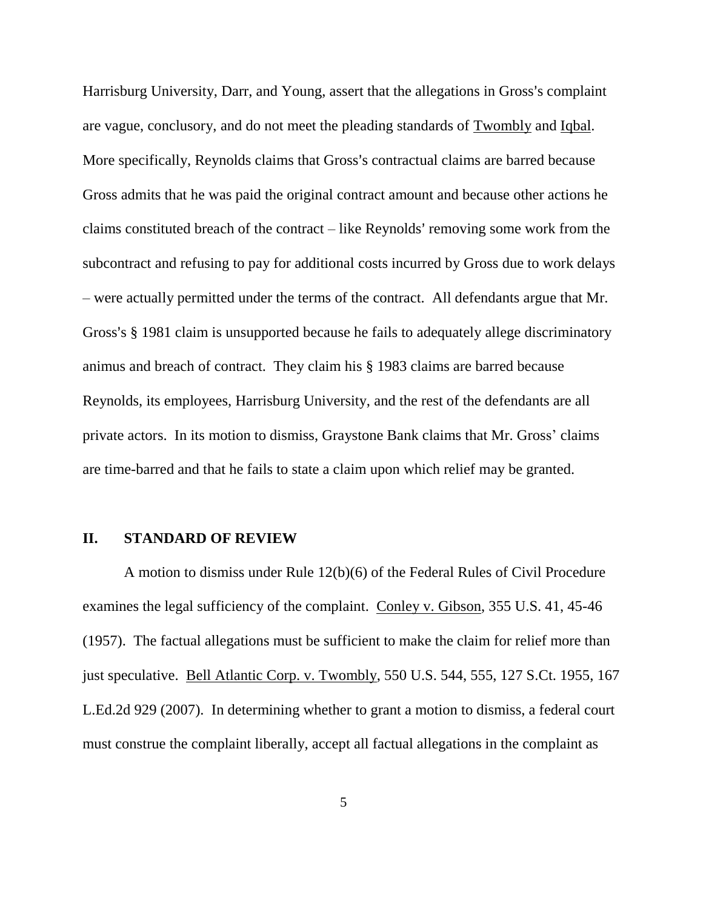Harrisburg University, Darr, and Young, assert that the allegations in Gross's complaint are vague, conclusory, and do not meet the pleading standards of Twombly and Iqbal. More specifically, Reynolds claims that Gross's contractual claims are barred because Gross admits that he was paid the original contract amount and because other actions he claims constituted breach of the contract  $-$  like Reynolds' removing some work from the subcontract and refusing to pay for additional costs incurred by Gross due to work delays – were actually permitted under the terms of the contract. All defendants argue that Mr. Gross's § 1981 claim is unsupported because he fails to adequately allege discriminatory animus and breach of contract. They claim his § 1983 claims are barred because Reynolds, its employees, Harrisburg University, and the rest of the defendants are all private actors. In its motion to dismiss, Graystone Bank claims that Mr. Gross" claims are time-barred and that he fails to state a claim upon which relief may be granted.

### **II. STANDARD OF REVIEW**

A motion to dismiss under Rule 12(b)(6) of the Federal Rules of Civil Procedure examines the legal sufficiency of the complaint. Conley v. Gibson, 355 U.S. 41, 45-46 (1957). The factual allegations must be sufficient to make the claim for relief more than just speculative. Bell Atlantic Corp. v. Twombly, 550 U.S. 544, 555, 127 S.Ct. 1955, 167 L.Ed.2d 929 (2007). In determining whether to grant a motion to dismiss, a federal court must construe the complaint liberally, accept all factual allegations in the complaint as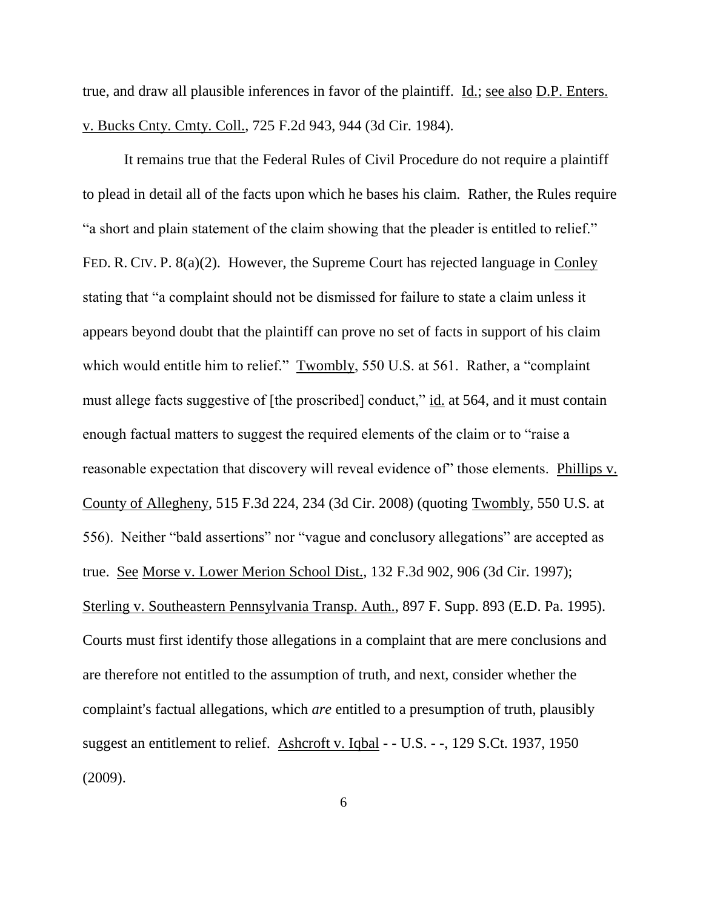true, and draw all plausible inferences in favor of the plaintiff. Id.; see also D.P. Enters. v. Bucks Cnty. Cmty. Coll., 725 F.2d 943, 944 (3d Cir. 1984).

It remains true that the Federal Rules of Civil Procedure do not require a plaintiff to plead in detail all of the facts upon which he bases his claim. Rather, the Rules require "a short and plain statement of the claim showing that the pleader is entitled to relief." FED. R. CIV. P. 8(a)(2). However, the Supreme Court has rejected language in Conley stating that "a complaint should not be dismissed for failure to state a claim unless it appears beyond doubt that the plaintiff can prove no set of facts in support of his claim which would entitle him to relief." Twombly, 550 U.S. at 561. Rather, a "complaint must allege facts suggestive of [the proscribed] conduct," id. at 564, and it must contain enough factual matters to suggest the required elements of the claim or to "raise a reasonable expectation that discovery will reveal evidence of" those elements. Phillips v. County of Allegheny, 515 F.3d 224, 234 (3d Cir. 2008) (quoting Twombly, 550 U.S. at 556). Neither "bald assertions" nor "vague and conclusory allegations" are accepted as true. See Morse v. Lower Merion School Dist., 132 F.3d 902, 906 (3d Cir. 1997); Sterling v. Southeastern Pennsylvania Transp. Auth., 897 F. Supp. 893 (E.D. Pa. 1995). Courts must first identify those allegations in a complaint that are mere conclusions and are therefore not entitled to the assumption of truth, and next, consider whether the complaint's factual allegations, which *are* entitled to a presumption of truth, plausibly suggest an entitlement to relief. Ashcroft v. Iqbal - - U.S. - -, 129 S.Ct. 1937, 1950 (2009).

6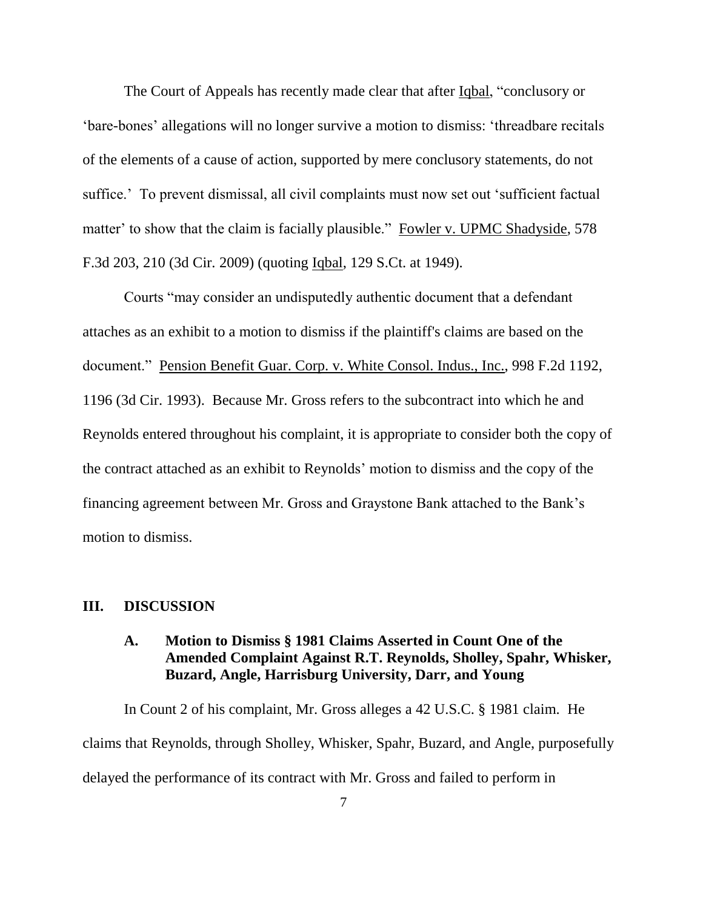The Court of Appeals has recently made clear that after Iqbal, "conclusory or "bare-bones" allegations will no longer survive a motion to dismiss: "threadbare recitals of the elements of a cause of action, supported by mere conclusory statements, do not suffice." To prevent dismissal, all civil complaints must now set out 'sufficient factual matter' to show that the claim is facially plausible." Fowler v. UPMC Shadyside, 578 F.3d 203, 210 (3d Cir. 2009) (quoting Iqbal, 129 S.Ct. at 1949).

Courts "may consider an undisputedly authentic document that a defendant attaches as an exhibit to a motion to dismiss if the plaintiff's claims are based on the document." Pension Benefit Guar. Corp. v. White Consol. Indus., Inc., 998 F.2d 1192, 1196 (3d Cir. 1993). Because Mr. Gross refers to the subcontract into which he and Reynolds entered throughout his complaint, it is appropriate to consider both the copy of the contract attached as an exhibit to Reynolds" motion to dismiss and the copy of the financing agreement between Mr. Gross and Graystone Bank attached to the Bank"s motion to dismiss.

## **III. DISCUSSION**

# **A. Motion to Dismiss § 1981 Claims Asserted in Count One of the Amended Complaint Against R.T. Reynolds, Sholley, Spahr, Whisker, Buzard, Angle, Harrisburg University, Darr, and Young**

In Count 2 of his complaint, Mr. Gross alleges a 42 U.S.C. § 1981 claim. He claims that Reynolds, through Sholley, Whisker, Spahr, Buzard, and Angle, purposefully delayed the performance of its contract with Mr. Gross and failed to perform in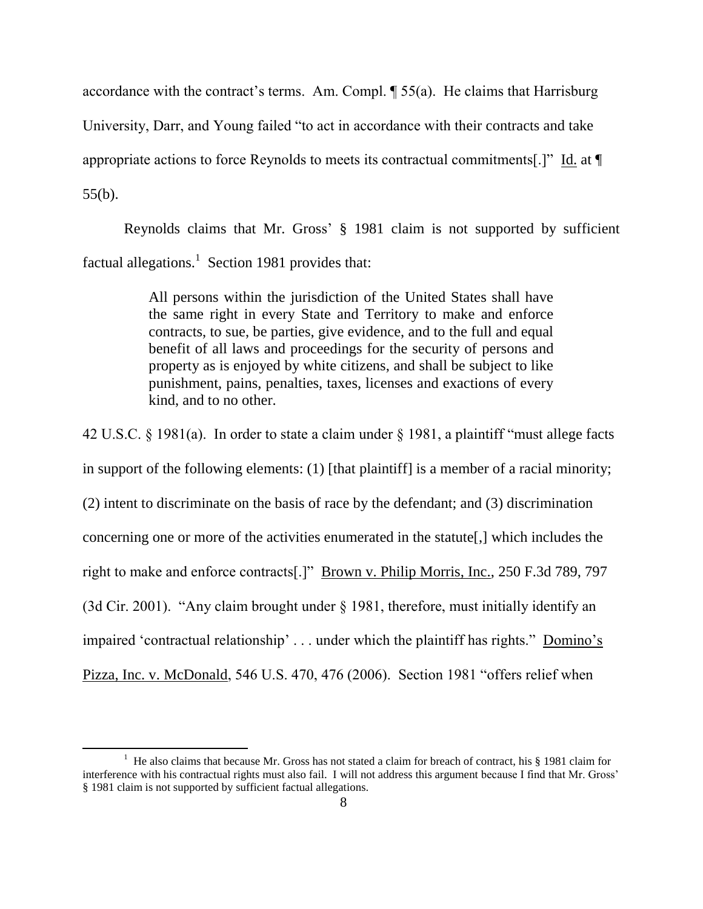accordance with the contract's terms. Am. Compl.  $\parallel$  55(a). He claims that Harrisburg University, Darr, and Young failed "to act in accordance with their contracts and take appropriate actions to force Reynolds to meets its contractual commitments[.]" Id. at ¶ 55(b).

Reynolds claims that Mr. Gross" § 1981 claim is not supported by sufficient factual allegations.<sup>1</sup> Section 1981 provides that:

> All persons within the jurisdiction of the United States shall have the same right in every State and Territory to make and enforce contracts, to sue, be parties, give evidence, and to the full and equal benefit of all laws and proceedings for the security of persons and property as is enjoyed by white citizens, and shall be subject to like punishment, pains, penalties, taxes, licenses and exactions of every kind, and to no other.

42 U.S.C. § 1981(a). In order to state a claim under § 1981, a plaintiff "must allege facts in support of the following elements: (1) [that plaintiff] is a member of a racial minority; (2) intent to discriminate on the basis of race by the defendant; and (3) discrimination concerning one or more of the activities enumerated in the statute[,] which includes the right to make and enforce contracts[.]" Brown v. Philip Morris, Inc., 250 F.3d 789, 797 (3d Cir. 2001). "Any claim brought under § 1981, therefore, must initially identify an impaired 'contractual relationship' . . . under which the plaintiff has rights." Domino's Pizza, Inc. v. McDonald, 546 U.S. 470, 476 (2006). Section 1981 "offers relief when

 $\overline{\phantom{a}}$ 

<sup>&</sup>lt;sup>1</sup> He also claims that because Mr. Gross has not stated a claim for breach of contract, his  $\S$  1981 claim for interference with his contractual rights must also fail. I will not address this argument because I find that Mr. Gross" § 1981 claim is not supported by sufficient factual allegations.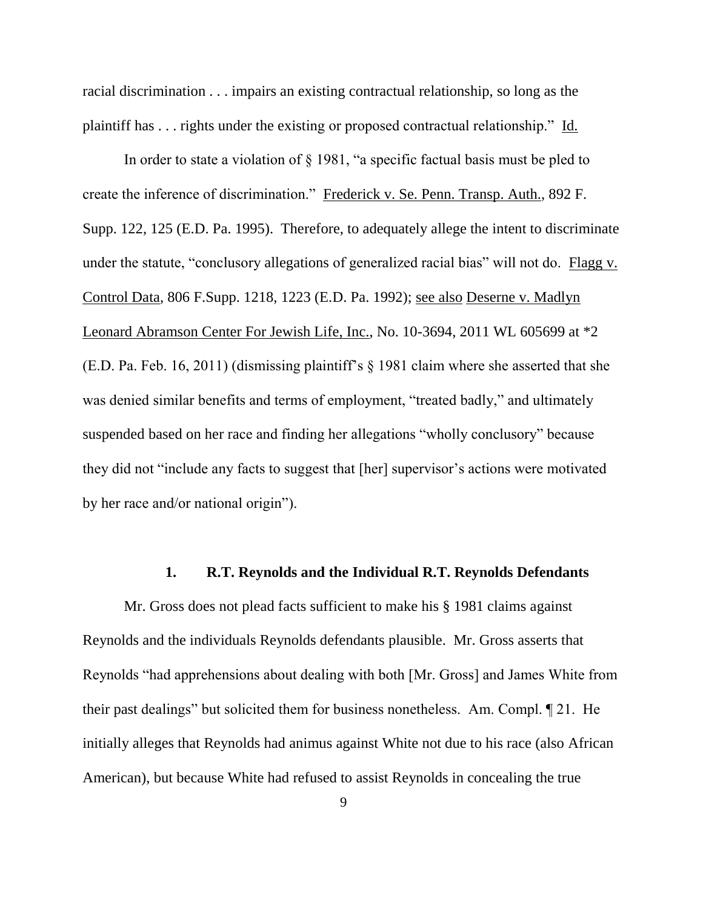racial discrimination . . . impairs an existing contractual relationship, so long as the plaintiff has . . . rights under the existing or proposed contractual relationship." Id.

In order to state a violation of § 1981, "a specific factual basis must be pled to create the inference of discrimination." Frederick v. Se. Penn. Transp. Auth., 892 F. Supp. 122, 125 (E.D. Pa. 1995). Therefore, to adequately allege the intent to discriminate under the statute, "conclusory allegations of generalized racial bias" will not do. Flagg v. Control Data*,* 806 F.Supp. 1218, 1223 (E.D. Pa. 1992); see also Deserne v. Madlyn Leonard Abramson Center For Jewish Life, Inc., No. 10-3694, 2011 WL 605699 at \*2 (E.D. Pa. Feb. 16, 2011) (dismissing plaintiff"s § 1981 claim where she asserted that she was denied similar benefits and terms of employment, "treated badly," and ultimately suspended based on her race and finding her allegations "wholly conclusory" because they did not "include any facts to suggest that [her] supervisor's actions were motivated by her race and/or national origin").

#### **1. R.T. Reynolds and the Individual R.T. Reynolds Defendants**

Mr. Gross does not plead facts sufficient to make his § 1981 claims against Reynolds and the individuals Reynolds defendants plausible. Mr. Gross asserts that Reynolds "had apprehensions about dealing with both [Mr. Gross] and James White from their past dealings" but solicited them for business nonetheless. Am. Compl. ¶ 21. He initially alleges that Reynolds had animus against White not due to his race (also African American), but because White had refused to assist Reynolds in concealing the true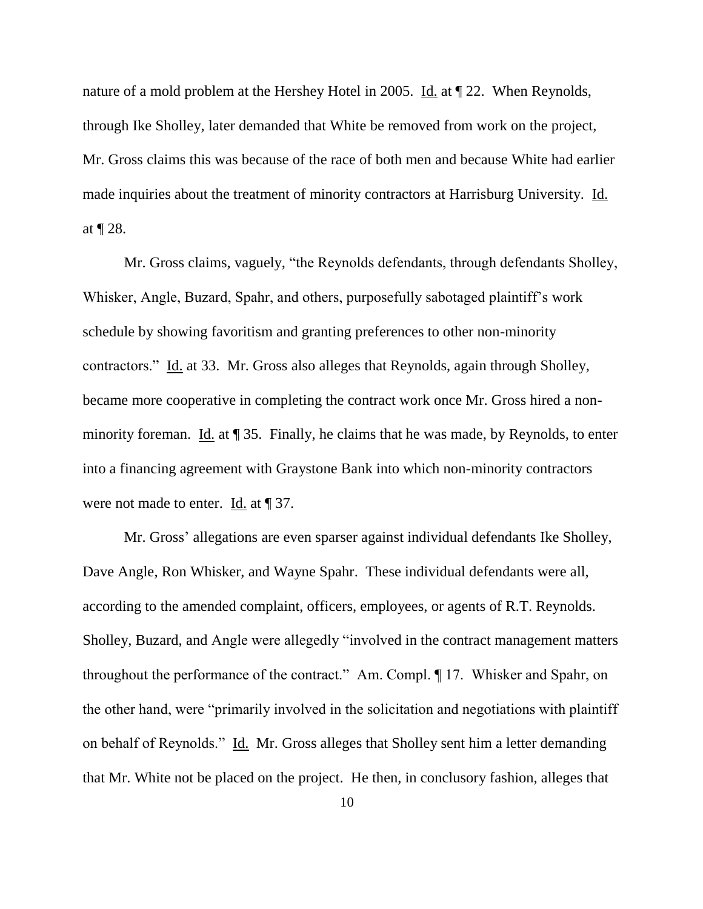nature of a mold problem at the Hershey Hotel in 2005. Id. at  $\parallel$  22. When Reynolds, through Ike Sholley, later demanded that White be removed from work on the project, Mr. Gross claims this was because of the race of both men and because White had earlier made inquiries about the treatment of minority contractors at Harrisburg University. Id. at ¶ 28.

Mr. Gross claims, vaguely, "the Reynolds defendants, through defendants Sholley, Whisker, Angle, Buzard, Spahr, and others, purposefully sabotaged plaintiff"s work schedule by showing favoritism and granting preferences to other non-minority contractors." Id. at 33. Mr. Gross also alleges that Reynolds, again through Sholley, became more cooperative in completing the contract work once Mr. Gross hired a nonminority foreman. Id. at  $\parallel$  35. Finally, he claims that he was made, by Reynolds, to enter into a financing agreement with Graystone Bank into which non-minority contractors were not made to enter. Id. at ¶ 37.

Mr. Gross' allegations are even sparser against individual defendants Ike Sholley, Dave Angle, Ron Whisker, and Wayne Spahr. These individual defendants were all, according to the amended complaint, officers, employees, or agents of R.T. Reynolds. Sholley, Buzard, and Angle were allegedly "involved in the contract management matters throughout the performance of the contract." Am. Compl. ¶ 17. Whisker and Spahr, on the other hand, were "primarily involved in the solicitation and negotiations with plaintiff on behalf of Reynolds." Id. Mr. Gross alleges that Sholley sent him a letter demanding that Mr. White not be placed on the project. He then, in conclusory fashion, alleges that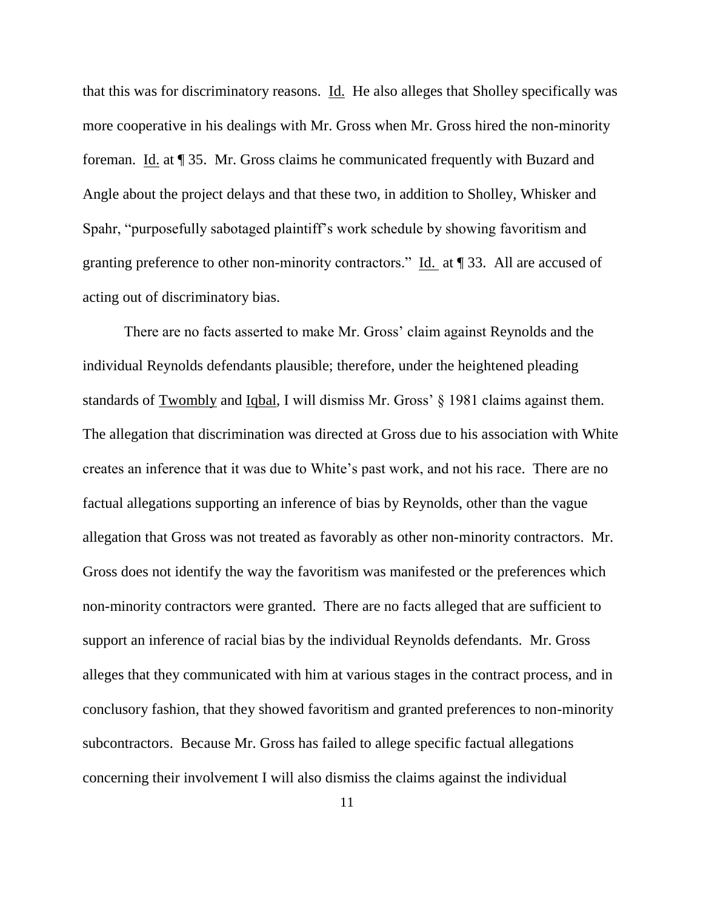that this was for discriminatory reasons. Id. He also alleges that Sholley specifically was more cooperative in his dealings with Mr. Gross when Mr. Gross hired the non-minority foreman. Id. at ¶ 35. Mr. Gross claims he communicated frequently with Buzard and Angle about the project delays and that these two, in addition to Sholley, Whisker and Spahr, "purposefully sabotaged plaintiff"s work schedule by showing favoritism and granting preference to other non-minority contractors." Id. at ¶ 33. All are accused of acting out of discriminatory bias.

There are no facts asserted to make Mr. Gross' claim against Reynolds and the individual Reynolds defendants plausible; therefore, under the heightened pleading standards of Twombly and Iqbal, I will dismiss Mr. Gross" § 1981 claims against them. The allegation that discrimination was directed at Gross due to his association with White creates an inference that it was due to White"s past work, and not his race. There are no factual allegations supporting an inference of bias by Reynolds, other than the vague allegation that Gross was not treated as favorably as other non-minority contractors. Mr. Gross does not identify the way the favoritism was manifested or the preferences which non-minority contractors were granted. There are no facts alleged that are sufficient to support an inference of racial bias by the individual Reynolds defendants. Mr. Gross alleges that they communicated with him at various stages in the contract process, and in conclusory fashion, that they showed favoritism and granted preferences to non-minority subcontractors. Because Mr. Gross has failed to allege specific factual allegations concerning their involvement I will also dismiss the claims against the individual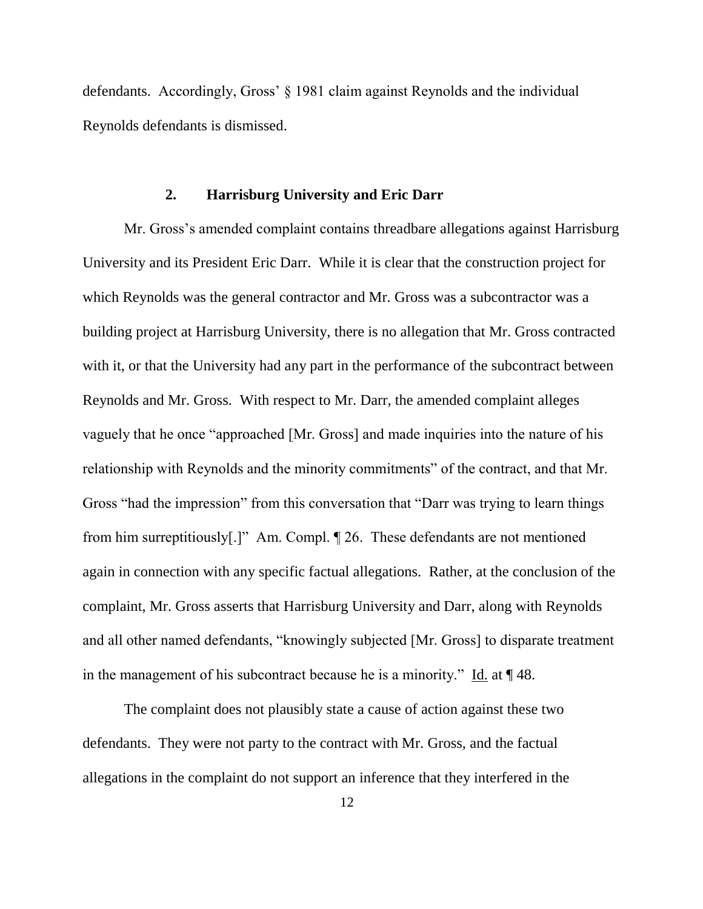defendants. Accordingly, Gross" § 1981 claim against Reynolds and the individual Reynolds defendants is dismissed.

#### **2. Harrisburg University and Eric Darr**

Mr. Gross"s amended complaint contains threadbare allegations against Harrisburg University and its President Eric Darr. While it is clear that the construction project for which Reynolds was the general contractor and Mr. Gross was a subcontractor was a building project at Harrisburg University, there is no allegation that Mr. Gross contracted with it, or that the University had any part in the performance of the subcontract between Reynolds and Mr. Gross. With respect to Mr. Darr, the amended complaint alleges vaguely that he once "approached [Mr. Gross] and made inquiries into the nature of his relationship with Reynolds and the minority commitments" of the contract, and that Mr. Gross "had the impression" from this conversation that "Darr was trying to learn things from him surreptitiously[.]" Am. Compl. ¶ 26. These defendants are not mentioned again in connection with any specific factual allegations. Rather, at the conclusion of the complaint, Mr. Gross asserts that Harrisburg University and Darr, along with Reynolds and all other named defendants, "knowingly subjected [Mr. Gross] to disparate treatment in the management of his subcontract because he is a minority." Id. at ¶ 48.

The complaint does not plausibly state a cause of action against these two defendants. They were not party to the contract with Mr. Gross, and the factual allegations in the complaint do not support an inference that they interfered in the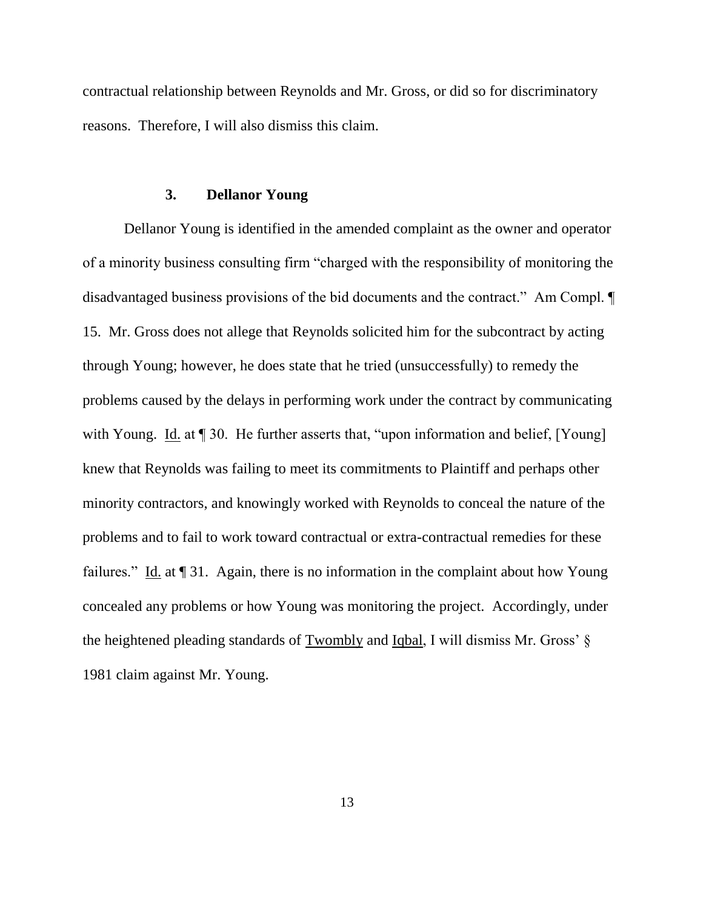contractual relationship between Reynolds and Mr. Gross, or did so for discriminatory reasons. Therefore, I will also dismiss this claim.

#### **3. Dellanor Young**

Dellanor Young is identified in the amended complaint as the owner and operator of a minority business consulting firm "charged with the responsibility of monitoring the disadvantaged business provisions of the bid documents and the contract." Am Compl. ¶ 15. Mr. Gross does not allege that Reynolds solicited him for the subcontract by acting through Young; however, he does state that he tried (unsuccessfully) to remedy the problems caused by the delays in performing work under the contract by communicating with Young. Id. at 130. He further asserts that, "upon information and belief, [Young] knew that Reynolds was failing to meet its commitments to Plaintiff and perhaps other minority contractors, and knowingly worked with Reynolds to conceal the nature of the problems and to fail to work toward contractual or extra-contractual remedies for these failures." Id. at  $\P$  31. Again, there is no information in the complaint about how Young concealed any problems or how Young was monitoring the project. Accordingly, under the heightened pleading standards of Twombly and Iqbal, I will dismiss Mr. Gross" § 1981 claim against Mr. Young.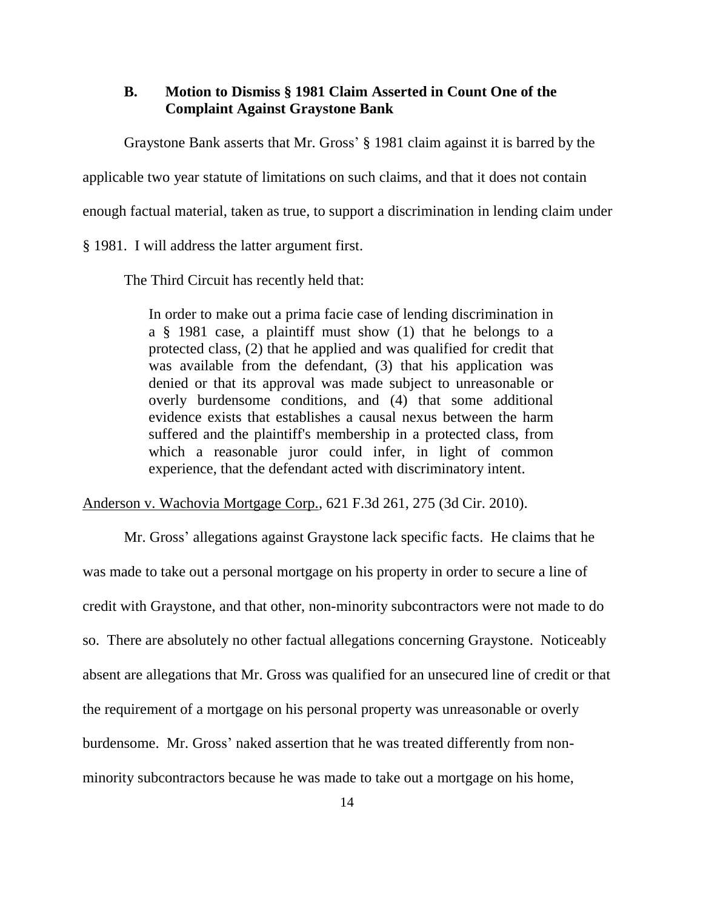## **B. Motion to Dismiss § 1981 Claim Asserted in Count One of the Complaint Against Graystone Bank**

Graystone Bank asserts that Mr. Gross" § 1981 claim against it is barred by the

applicable two year statute of limitations on such claims, and that it does not contain

enough factual material, taken as true, to support a discrimination in lending claim under

§ 1981. I will address the latter argument first.

The Third Circuit has recently held that:

In order to make out a prima facie case of lending discrimination in a § 1981 case, a plaintiff must show (1) that he belongs to a protected class, (2) that he applied and was qualified for credit that was available from the defendant, (3) that his application was denied or that its approval was made subject to unreasonable or overly burdensome conditions, and (4) that some additional evidence exists that establishes a causal nexus between the harm suffered and the plaintiff's membership in a protected class, from which a reasonable juror could infer, in light of common experience, that the defendant acted with discriminatory intent.

Anderson v. Wachovia Mortgage Corp., 621 F.3d 261, 275 (3d Cir. 2010).

Mr. Gross" allegations against Graystone lack specific facts. He claims that he was made to take out a personal mortgage on his property in order to secure a line of credit with Graystone, and that other, non-minority subcontractors were not made to do so. There are absolutely no other factual allegations concerning Graystone. Noticeably absent are allegations that Mr. Gross was qualified for an unsecured line of credit or that the requirement of a mortgage on his personal property was unreasonable or overly burdensome. Mr. Gross" naked assertion that he was treated differently from nonminority subcontractors because he was made to take out a mortgage on his home,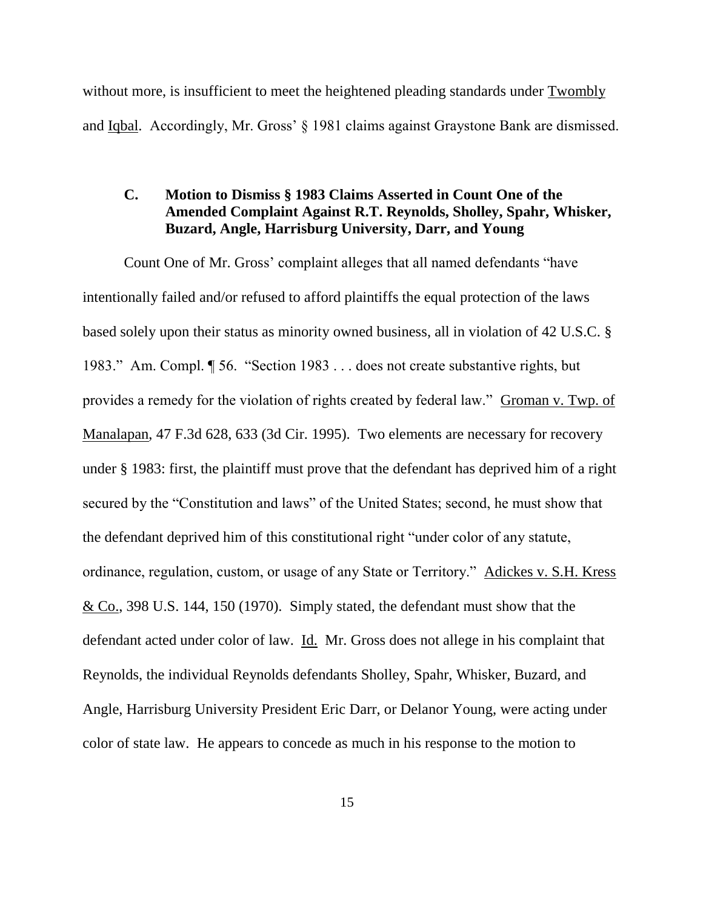without more, is insufficient to meet the heightened pleading standards under Twombly and Iqbal. Accordingly, Mr. Gross" § 1981 claims against Graystone Bank are dismissed.

# **C. Motion to Dismiss § 1983 Claims Asserted in Count One of the Amended Complaint Against R.T. Reynolds, Sholley, Spahr, Whisker, Buzard, Angle, Harrisburg University, Darr, and Young**

Count One of Mr. Gross' complaint alleges that all named defendants "have intentionally failed and/or refused to afford plaintiffs the equal protection of the laws based solely upon their status as minority owned business, all in violation of 42 U.S.C. § 1983." Am. Compl. ¶ 56. "Section 1983 . . . does not create substantive rights, but provides a remedy for the violation of rights created by federal law." Groman v. Twp. of Manalapan, 47 F.3d 628, 633 (3d Cir. 1995). Two elements are necessary for recovery under § 1983: first, the plaintiff must prove that the defendant has deprived him of a right secured by the "Constitution and laws" of the United States; second, he must show that the defendant deprived him of this constitutional right "under color of any statute, ordinance, regulation, custom, or usage of any State or Territory." Adickes v. S.H. Kress & Co., 398 U.S. 144, 150 (1970). Simply stated, the defendant must show that the defendant acted under color of law. Id. Mr. Gross does not allege in his complaint that Reynolds, the individual Reynolds defendants Sholley, Spahr, Whisker, Buzard, and Angle, Harrisburg University President Eric Darr, or Delanor Young, were acting under color of state law. He appears to concede as much in his response to the motion to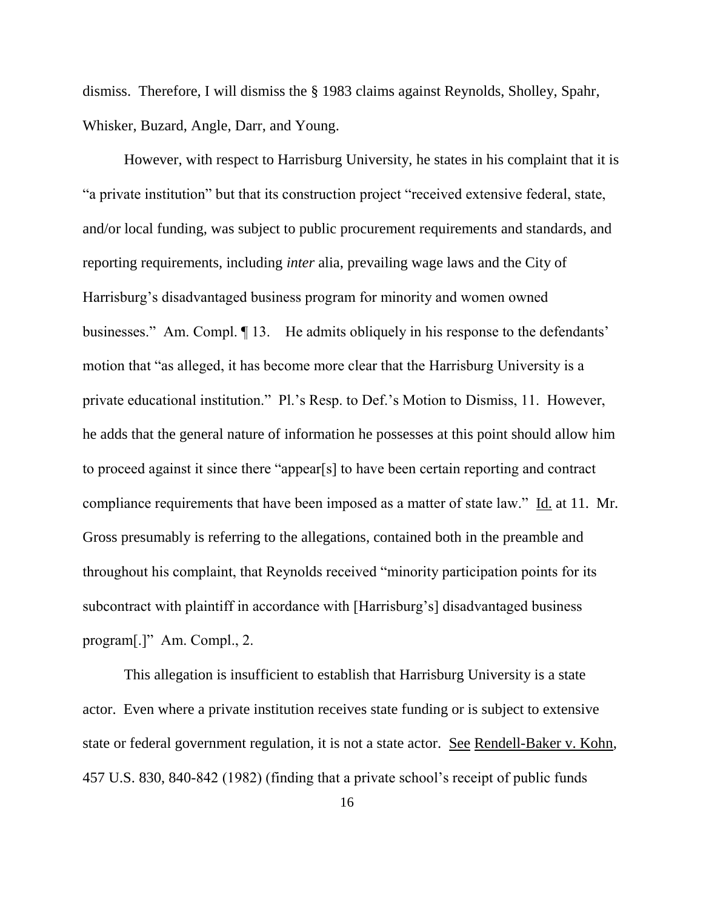dismiss. Therefore, I will dismiss the § 1983 claims against Reynolds, Sholley, Spahr, Whisker, Buzard, Angle, Darr, and Young.

However, with respect to Harrisburg University, he states in his complaint that it is "a private institution" but that its construction project "received extensive federal, state, and/or local funding, was subject to public procurement requirements and standards, and reporting requirements, including *inter* alia, prevailing wage laws and the City of Harrisburg's disadvantaged business program for minority and women owned businesses." Am. Compl.  $\P$  13. He admits obliquely in his response to the defendants' motion that "as alleged, it has become more clear that the Harrisburg University is a private educational institution." Pl."s Resp. to Def."s Motion to Dismiss, 11. However, he adds that the general nature of information he possesses at this point should allow him to proceed against it since there "appear[s] to have been certain reporting and contract compliance requirements that have been imposed as a matter of state law." Id. at 11. Mr. Gross presumably is referring to the allegations, contained both in the preamble and throughout his complaint, that Reynolds received "minority participation points for its subcontract with plaintiff in accordance with [Harrisburg"s] disadvantaged business program[.]" Am. Compl., 2.

This allegation is insufficient to establish that Harrisburg University is a state actor. Even where a private institution receives state funding or is subject to extensive state or federal government regulation, it is not a state actor. See Rendell-Baker v. Kohn, 457 U.S. 830, 840-842 (1982) (finding that a private school"s receipt of public funds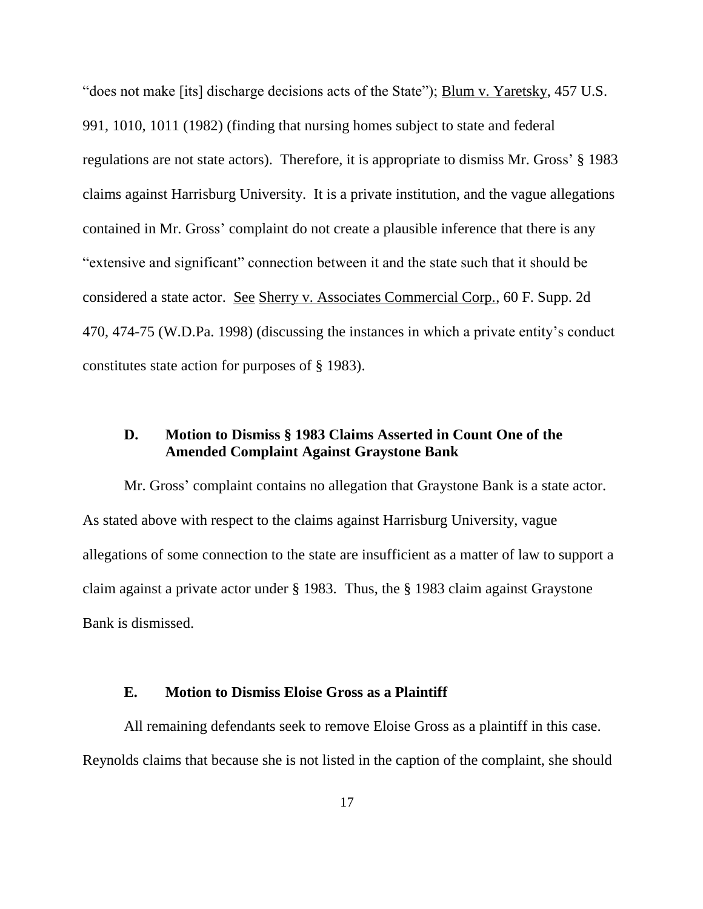"does not make [its] discharge decisions acts of the State"); Blum v. Yaretsky, 457 U.S. 991, 1010, 1011 (1982) (finding that nursing homes subject to state and federal regulations are not state actors). Therefore, it is appropriate to dismiss Mr. Gross" § 1983 claims against Harrisburg University. It is a private institution, and the vague allegations contained in Mr. Gross' complaint do not create a plausible inference that there is any "extensive and significant" connection between it and the state such that it should be considered a state actor. See Sherry v. Associates Commercial Corp., 60 F. Supp. 2d 470, 474-75 (W.D.Pa. 1998) (discussing the instances in which a private entity"s conduct constitutes state action for purposes of § 1983).

## **D. Motion to Dismiss § 1983 Claims Asserted in Count One of the Amended Complaint Against Graystone Bank**

Mr. Gross' complaint contains no allegation that Graystone Bank is a state actor. As stated above with respect to the claims against Harrisburg University, vague allegations of some connection to the state are insufficient as a matter of law to support a claim against a private actor under § 1983. Thus, the § 1983 claim against Graystone Bank is dismissed.

#### **E. Motion to Dismiss Eloise Gross as a Plaintiff**

All remaining defendants seek to remove Eloise Gross as a plaintiff in this case. Reynolds claims that because she is not listed in the caption of the complaint, she should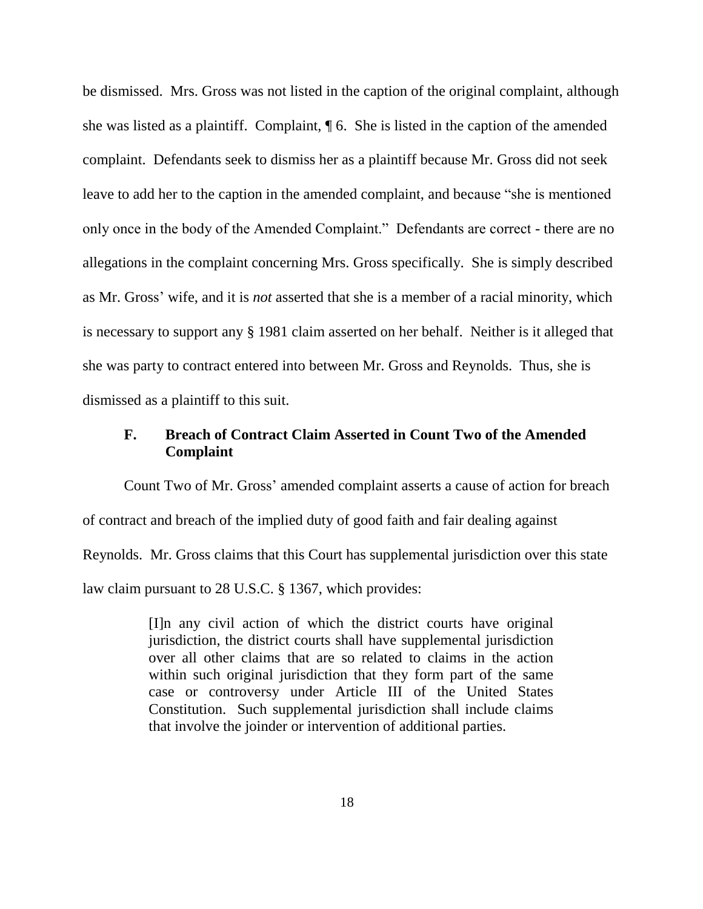be dismissed. Mrs. Gross was not listed in the caption of the original complaint, although she was listed as a plaintiff. Complaint, ¶ 6. She is listed in the caption of the amended complaint. Defendants seek to dismiss her as a plaintiff because Mr. Gross did not seek leave to add her to the caption in the amended complaint, and because "she is mentioned only once in the body of the Amended Complaint." Defendants are correct - there are no allegations in the complaint concerning Mrs. Gross specifically. She is simply described as Mr. Gross" wife, and it is *not* asserted that she is a member of a racial minority, which is necessary to support any § 1981 claim asserted on her behalf. Neither is it alleged that she was party to contract entered into between Mr. Gross and Reynolds. Thus, she is dismissed as a plaintiff to this suit.

## **F. Breach of Contract Claim Asserted in Count Two of the Amended Complaint**

Count Two of Mr. Gross" amended complaint asserts a cause of action for breach of contract and breach of the implied duty of good faith and fair dealing against Reynolds. Mr. Gross claims that this Court has supplemental jurisdiction over this state law claim pursuant to 28 U.S.C. § 1367, which provides:

> [I]n any civil action of which the district courts have original jurisdiction, the district courts shall have supplemental jurisdiction over all other claims that are so related to claims in the action within such original jurisdiction that they form part of the same case or controversy under Article III of the United States Constitution. Such supplemental jurisdiction shall include claims that involve the joinder or intervention of additional parties.